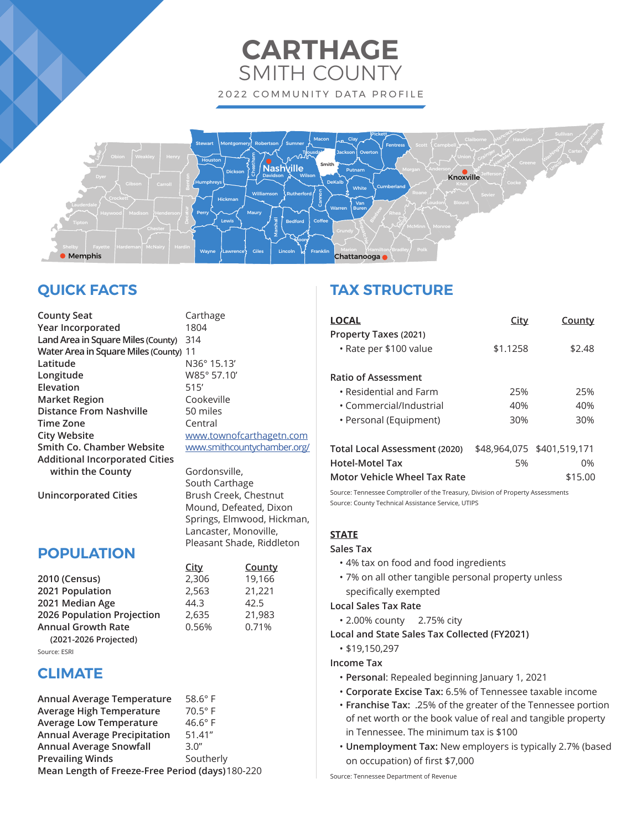## **CARTHAGE** SMITH COUNTY 2022 COMMUNITY DATA PROFILE



## **QUICK FACTS**

**County Seat** Carthage **Year Incorporated** 1804 **Land Area in Square Miles (County)** 314 **Water Area in Square Miles (County)** 11 **Latitude** N36° 15.13' **Longitude** W85° 57.10' **Elevation** 515' **Market Region Cookeville Distance From Nashville** 50 miles **Time Zone** Central **City Website** www.townofcarthagetn.com Smith Co. Chamber Website www.smithcountychamber.org/ **Additional Incorporated Cities within the County Gordonsville**,

 South Carthage **Unincorporated Cities** Brush Creek, Chestnut Mound, Defeated, Dixon Springs, Elmwood, Hickman, Lancaster, Monoville, Pleasant Shade, Riddleton

> **City County 2010 (Census)** 2,306 19,166 **2021 Population** 2,563 21,221

**2026 Population Projection** 2,635 21,983 **Annual Growth Rate** 0.56% 0.71%

### **POPULATION**

| 2010 (Census)              | 2,306 | 19.1 |
|----------------------------|-------|------|
| 2021 Population            | 2,563 | 21,2 |
| 2021 Median Age            | 44.3  | 42.5 |
| 2026 Population Projection | 2,635 | 21.9 |
| Annual Growth Rate         | 0.56% | 0.71 |
| (2021-2026 Projected)      |       |      |
|                            |       |      |

Source: ESRI

### **CLIMATE**

| Annual Average Temperature                       | $58.6^\circ$ F |  |
|--------------------------------------------------|----------------|--|
| <b>Average High Temperature</b>                  | $70.5^\circ$ F |  |
| <b>Average Low Temperature</b>                   | $46.6^\circ$ F |  |
| <b>Annual Average Precipitation</b>              | 51.41"         |  |
| <b>Annual Average Snowfall</b>                   | 3.0''          |  |
| <b>Prevailing Winds</b>                          | Southerly      |  |
| Mean Length of Freeze-Free Period (days) 180-220 |                |  |

## **TAX STRUCTURE**

| <b>LOCAL</b>                                    | <u>City</u> | <u>County</u>              |
|-------------------------------------------------|-------------|----------------------------|
| Property Taxes (2021)<br>• Rate per \$100 value | \$1.1258    | \$2.48                     |
| <b>Ratio of Assessment</b>                      |             |                            |
| $\cdot$ Residential and Farm                    | 25%         | 25%                        |
| • Commercial/Industrial                         | 40%         | 40%                        |
| • Personal (Equipment)                          | 30%         | 30%                        |
| Total Local Assessment (2020)                   |             | \$48,964,075 \$401,519,171 |
| <b>Hotel-Motel Tax</b>                          | 5%          | 0%                         |
| Motor Vehicle Wheel Tax Rate                    |             | \$15.00                    |

Source: Tennessee Comptroller of the Treasury, Division of Property Assessments Source: County Technical Assistance Service, UTIPS

### **STATE**

### **Sales Tax**

- 4% tax on food and food ingredients
- 7% on all other tangible personal property unless specifically exempted

### **Local Sales Tax Rate**

- 2.00% county 2.75% city
- **Local and State Sales Tax Collected (FY2021)**
	- \$19,150,297

**Income Tax**

- **Personal**: Repealed beginning January 1, 2021
- **Corporate Excise Tax:** 6.5% of Tennessee taxable income
- **Franchise Tax:** .25% of the greater of the Tennessee portion of net worth or the book value of real and tangible property in Tennessee. The minimum tax is \$100
- **Unemployment Tax:** New employers is typically 2.7% (based on occupation) of first \$7,000

Source: Tennessee Department of Revenue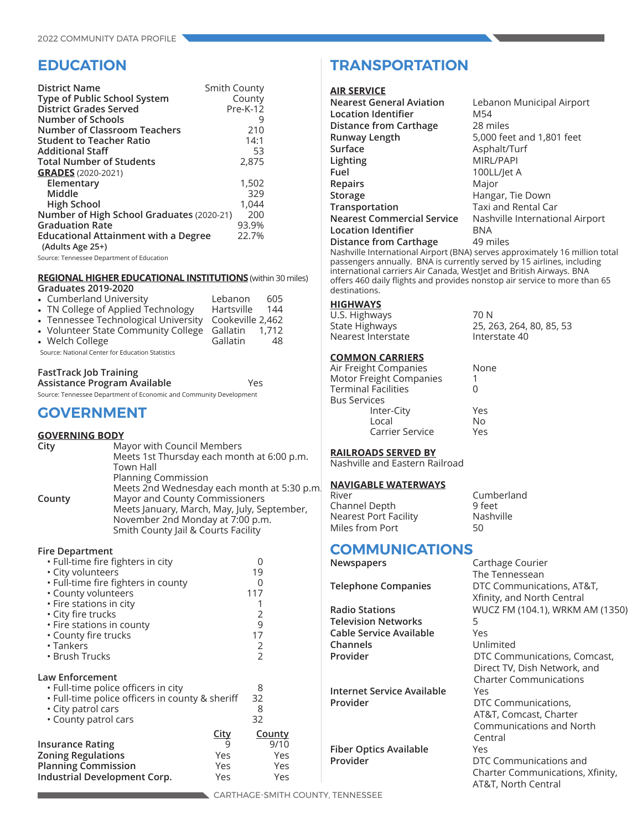### **EDUCATION**

| <b>District Name</b><br>Type of Public School System<br><b>District Grades Served</b><br>Number of Schools<br><b>Number of Classroom Teachers</b><br><b>Student to Teacher Ratio</b> | Smith County<br>County<br>$Pre-K-12$<br>9<br>210<br>14:1 |
|--------------------------------------------------------------------------------------------------------------------------------------------------------------------------------------|----------------------------------------------------------|
| <b>Additional Staff</b>                                                                                                                                                              | 53                                                       |
| <b>Total Number of Students</b>                                                                                                                                                      | 2,875                                                    |
| <b>GRADES</b> (2020-2021)                                                                                                                                                            |                                                          |
| Elementary                                                                                                                                                                           | 1,502                                                    |
| Middle                                                                                                                                                                               | 329                                                      |
| <b>High School</b>                                                                                                                                                                   | 1,044                                                    |
| Number of High School Graduates (2020-21)                                                                                                                                            | 200                                                      |
| <b>Graduation Rate</b>                                                                                                                                                               | 93.9%                                                    |
| <b>Educational Attainment with a Degree</b>                                                                                                                                          | 22.7%                                                    |
| (Adults Age 25+)                                                                                                                                                                     |                                                          |

Source: Tennessee Department of Education

#### **REGIONAL HIGHER EDUCATIONAL INSTITUTIONS** (within 30 miles) **Graduates 2019-2020**

| • Cumberland University<br>• TN College of Applied Technology               | Lebanon<br>Hartsville        | 605<br>144 |
|-----------------------------------------------------------------------------|------------------------------|------------|
| • Tennessee Technological University<br>• Volunteer State Community College | Cookeville 2,462<br>Gallatin | 1.712      |
| • Welch College                                                             | Gallatin                     | 48         |
| Source: National Center for Education Statistics                            |                              |            |

#### **FastTrack Job Training**

| Assistance Program Available | Yes |
|------------------------------|-----|
|                              |     |

Source: Tennessee Department of Economic and Community Development

### **GOVERNMENT**

#### **GOVERNING BODY**

| City   | Mayor with Council Members                  |
|--------|---------------------------------------------|
|        | Meets 1st Thursday each month at 6:00 p.m.  |
|        | Town Hall                                   |
|        | <b>Planning Commission</b>                  |
|        | Meets 2nd Wednesday each month at 5:30 p.m. |
| County | Mayor and County Commissioners              |
|        | Meets January, March, May, July, September, |
|        | November 2nd Monday at 7:00 p.m.            |
|        | Smith County Jail & Courts Facility         |

#### **Fire Department**

| · Full-time fire fighters in city               |             | 0                |               |
|-------------------------------------------------|-------------|------------------|---------------|
| • City volunteers                               |             | 19               |               |
| • Full-time fire fighters in county             |             | $\left( \right)$ |               |
| • County volunteers                             |             | 117              |               |
| • Fire stations in city                         |             |                  |               |
| · City fire trucks                              |             | 2                |               |
| • Fire stations in county                       |             | 9                |               |
| • County fire trucks                            |             | 17               |               |
| $\cdot$ Tankers                                 |             | 2                |               |
| • Brush Trucks                                  |             | $\overline{2}$   |               |
|                                                 |             |                  |               |
| Law Enforcement                                 |             |                  |               |
| . Full-time police officers in city             |             | 8                |               |
| • Full-time police officers in county & sheriff |             | 32               |               |
| • City patrol cars                              |             | 8                |               |
| • County patrol cars                            |             | 32               |               |
|                                                 |             |                  |               |
|                                                 | <b>City</b> |                  | <b>County</b> |
| Insurance Rating                                | 9           |                  | 9/10          |
| <b>Zoning Regulations</b>                       | Yes         |                  | Yes           |
| <b>Planning Commission</b>                      | Yes         |                  | Yes           |
| Industrial Development Corp.                    | Yes         |                  | Yes           |
|                                                 |             |                  |               |

### **TRANSPORTATION**

#### **AIR SERVICE**

| <b>Nearest General Aviation</b> | Lebanon Municipal Airport       |
|---------------------------------|---------------------------------|
| <b>Location Identifier</b>      | M54                             |
| Distance from Carthage          | 28 miles                        |
| Runway Length                   | 5,000 feet and 1,801 feet       |
| Surface                         | Asphalt/Turf                    |
| Lighting                        | <b>MIRL/PAPI</b>                |
| Fuel                            | 100LL/Jet A                     |
| Repairs                         | Major                           |
| Storage                         | Hangar, Tie Down                |
| Transportation                  | Taxi and Rental Car             |
| Nearest Commercial Service      | Nashville International Airport |
| <b>Location Identifier</b>      | BNA                             |
| Distance from Carthage          | 49 miles                        |
|                                 |                                 |

Nashville International Airport (BNA) serves approximately 16 million total passengers annually. BNA is currently served by 15 airlines, including international carriers Air Canada, WestJet and British Airways. BNA offers 460 daily flights and provides nonstop air service to more than 65 destinations.

### **HIGHWAYS**

U.S. Highways 70 N State Highways 25, 263, 264, 80, 85, 53<br>Nearest Interstate 10 Interstate 40 Nearest Interstate

### **COMMON CARRIERS**

| Air Freight Companies   | None |
|-------------------------|------|
| Motor Freight Companies |      |
| Terminal Facilities     |      |
| <b>Bus Services</b>     |      |
| Inter-City              | Yes  |
| Local                   | No   |
| Carrier Service         | Yes  |

#### **RAILROADS SERVED BY**

Nashville and Eastern Railroad

### **NAVIGABLE WATERWAYS**

| Cumberland |
|------------|
| 9 feet     |
| Nashville  |
| 50         |
|            |

# **COMMUNICATIONS**<br> **Newspapers**

|                               | The Tennessean                   |
|-------------------------------|----------------------------------|
| <b>Telephone Companies</b>    | DTC Communications, AT&T,        |
|                               | Xfinity, and North Central       |
| <b>Radio Stations</b>         | WUCZ FM (104.1), WRKM AM (1350)  |
| <b>Television Networks</b>    | 5                                |
| Cable Service Available       | Yes                              |
| Channels                      | Unlimited                        |
| Provider                      | DTC Communications, Comcast,     |
|                               | Direct TV, Dish Network, and     |
|                               | <b>Charter Communications</b>    |
| Internet Service Available    | Yes                              |
| Provider                      | DTC Communications,              |
|                               | AT&T, Comcast, Charter           |
|                               | <b>Communications and North</b>  |
|                               | Central                          |
| <b>Fiber Optics Available</b> | Yes                              |
| Provider                      | DTC Communications and           |
|                               | Charter Communications, Xfinity, |
|                               | AT&T, North Central              |

**Carthage Courier**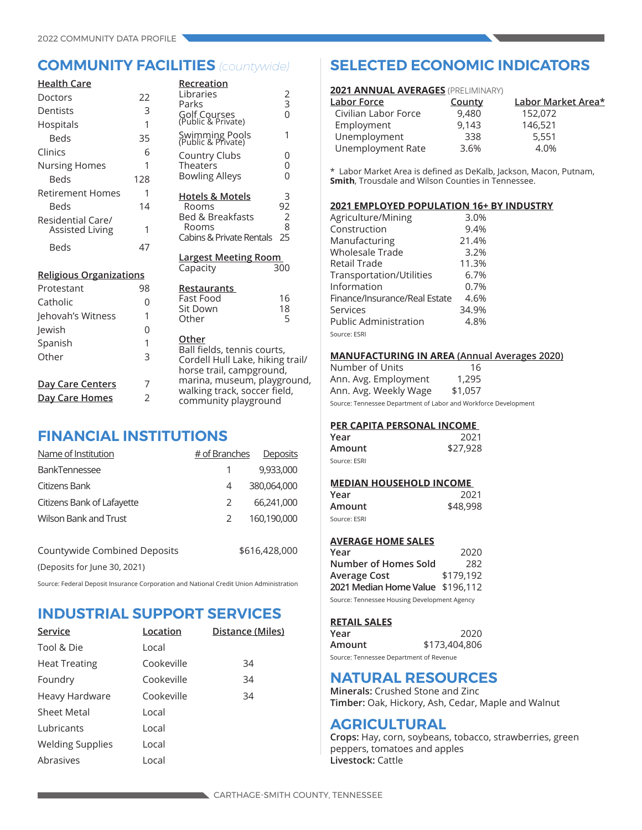|                | Recreation                                               |                                                                                                                                                                                                                                                                                                                                                                                                                                                   |
|----------------|----------------------------------------------------------|---------------------------------------------------------------------------------------------------------------------------------------------------------------------------------------------------------------------------------------------------------------------------------------------------------------------------------------------------------------------------------------------------------------------------------------------------|
| 22             |                                                          | $\begin{array}{c} 2 \\ 3 \\ 0 \end{array}$                                                                                                                                                                                                                                                                                                                                                                                                        |
| 3              |                                                          |                                                                                                                                                                                                                                                                                                                                                                                                                                                   |
| 1              |                                                          |                                                                                                                                                                                                                                                                                                                                                                                                                                                   |
| 35             |                                                          | 1                                                                                                                                                                                                                                                                                                                                                                                                                                                 |
| 6              |                                                          | 0                                                                                                                                                                                                                                                                                                                                                                                                                                                 |
| 1              | <b>Theaters</b>                                          | 0                                                                                                                                                                                                                                                                                                                                                                                                                                                 |
| 128            | <b>Bowling Alleys</b>                                    | 0                                                                                                                                                                                                                                                                                                                                                                                                                                                 |
| 1              |                                                          | 3                                                                                                                                                                                                                                                                                                                                                                                                                                                 |
| 14             | Rooms                                                    | 92                                                                                                                                                                                                                                                                                                                                                                                                                                                |
|                | <b>Bed &amp; Breakfasts</b>                              | $\overline{2}$                                                                                                                                                                                                                                                                                                                                                                                                                                    |
| 1              |                                                          | 8<br>25                                                                                                                                                                                                                                                                                                                                                                                                                                           |
| 47             |                                                          |                                                                                                                                                                                                                                                                                                                                                                                                                                                   |
|                |                                                          |                                                                                                                                                                                                                                                                                                                                                                                                                                                   |
|                | Capacity                                                 | 300                                                                                                                                                                                                                                                                                                                                                                                                                                               |
|                |                                                          |                                                                                                                                                                                                                                                                                                                                                                                                                                                   |
|                | Fast Food                                                | 16                                                                                                                                                                                                                                                                                                                                                                                                                                                |
|                | Sit Down                                                 | 18                                                                                                                                                                                                                                                                                                                                                                                                                                                |
|                |                                                          | 5                                                                                                                                                                                                                                                                                                                                                                                                                                                 |
|                |                                                          |                                                                                                                                                                                                                                                                                                                                                                                                                                                   |
|                |                                                          |                                                                                                                                                                                                                                                                                                                                                                                                                                                   |
| 3              |                                                          |                                                                                                                                                                                                                                                                                                                                                                                                                                                   |
| 7              |                                                          |                                                                                                                                                                                                                                                                                                                                                                                                                                                   |
| $\overline{2}$ |                                                          |                                                                                                                                                                                                                                                                                                                                                                                                                                                   |
|                | <b>Religious Organizations</b><br>98<br>0<br>1<br>0<br>1 | Libraries<br>Parks<br>Golf Courses<br>(Public & Private)<br>Swimming Pools<br>(Public & Private)<br>Country Clubs<br><b>Hotels &amp; Motels</b><br>Rooms<br>Cabins & Private Rentals<br><b>Largest Meeting Room</b><br><b>Restaurants</b><br>Other<br>Other<br>Ball fields, tennis courts,<br>Cordell Hull Lake, hiking trail/<br>horse trail, campground,<br>marina, museum, playground,<br>walking track, soccer field,<br>community playground |

### **FINANCIAL INSTITUTIONS**

| Name of Institution          | # of Branches<br>Deposits |               |
|------------------------------|---------------------------|---------------|
| BankTennessee                |                           | 9,933,000     |
| Citizens Bank                | 4                         | 380,064,000   |
| Citizens Bank of Lafayette   | 2                         | 66,241,000    |
| <b>Wilson Bank and Trust</b> | $\mathcal{L}$             | 160,190,000   |
|                              |                           |               |
| Countywide Combined Deposits |                           | \$616,428,000 |

(Deposits for June 30, 2021)

Source: Federal Deposit Insurance Corporation and National Credit Union Administration

### **INDUSTRIAL SUPPORT SERVICES**

| Service                 | Location   | Distance (Miles) |
|-------------------------|------------|------------------|
| Tool & Die              | Local      |                  |
| <b>Heat Treating</b>    | Cookeville | 34               |
| Foundry                 | Cookeville | 34               |
| Heavy Hardware          | Cookeville | 34               |
| Sheet Metal             | Local      |                  |
| Lubricants              | Local      |                  |
| <b>Welding Supplies</b> | Local      |                  |
| Abrasives               | Local      |                  |

### **COMMUNITY FACILITIES** *(countywide)* **SELECTED ECONOMIC INDICATORS**

| <b>2021 ANNUAL AVERAGES (PRELIMINARY)</b> |                    |
|-------------------------------------------|--------------------|
| County                                    | Labor Market Area* |
| 9,480                                     | 152.072            |
| 9,143                                     | 146,521            |
| 338                                       | 5,551              |
| 3.6%                                      | 4.0%               |
|                                           |                    |

\* Labor Market Area is defined as DeKalb, Jackson, Macon, Putnam, **Smith**, Trousdale and Wilson Counties in Tennessee.

### **2021 EMPLOYED POPULATION 16+ BY INDUSTRY**

| Agriculture/Mining            | 3.0%  |
|-------------------------------|-------|
| Construction                  | 9.4%  |
| Manufacturing                 | 21.4% |
| Wholesale Trade               | 3.2%  |
| Retail Trade                  | 11.3% |
| Transportation/Utilities      | 6.7%  |
| Information                   | 0.7%  |
| Finance/Insurance/Real Estate | 4.6%  |
| Services                      | 34.9% |
| <b>Public Administration</b>  | 4.8%  |
| Source: ESRI                  |       |

#### **MANUFACTURING IN AREA (Annual Averages 2020)**

| Number of Units       | 16      |
|-----------------------|---------|
| Ann. Avg. Employment  | 1,295   |
| Ann. Avg. Weekly Wage | \$1,057 |

Source: Tennessee Department of Labor and Workforce Development

#### **PER CAPITA PERSONAL INCOME**

| Year         | 2021     |
|--------------|----------|
| Amount       | \$27,928 |
| Source: ESRI |          |

### **MEDIAN HOUSEHOLD INCOME**

| Year         | 2021     |
|--------------|----------|
| Amount       | \$48,998 |
| Source: ESRI |          |

### **AVERAGE HOME SALES**

| Year                                         | 2020      |  |
|----------------------------------------------|-----------|--|
| Number of Homes Sold                         | 282       |  |
| <b>Average Cost</b>                          | \$179.192 |  |
| 2021 Median Home Value \$196,112             |           |  |
| Source: Tennessee Housing Development Agency |           |  |

### **RETAIL SALES**

| Year                                    | 2020          |
|-----------------------------------------|---------------|
| Amount                                  | \$173,404,806 |
| Source: Tennessee Department of Revenue |               |

### **NATURAL RESOURCES**

**Minerals:** Crushed Stone and Zinc **Timber:** Oak, Hickory, Ash, Cedar, Maple and Walnut

### **AGRICULTURAL**

**Crops:** Hay, corn, soybeans, tobacco, strawberries, green peppers, tomatoes and apples **Livestock:** Cattle